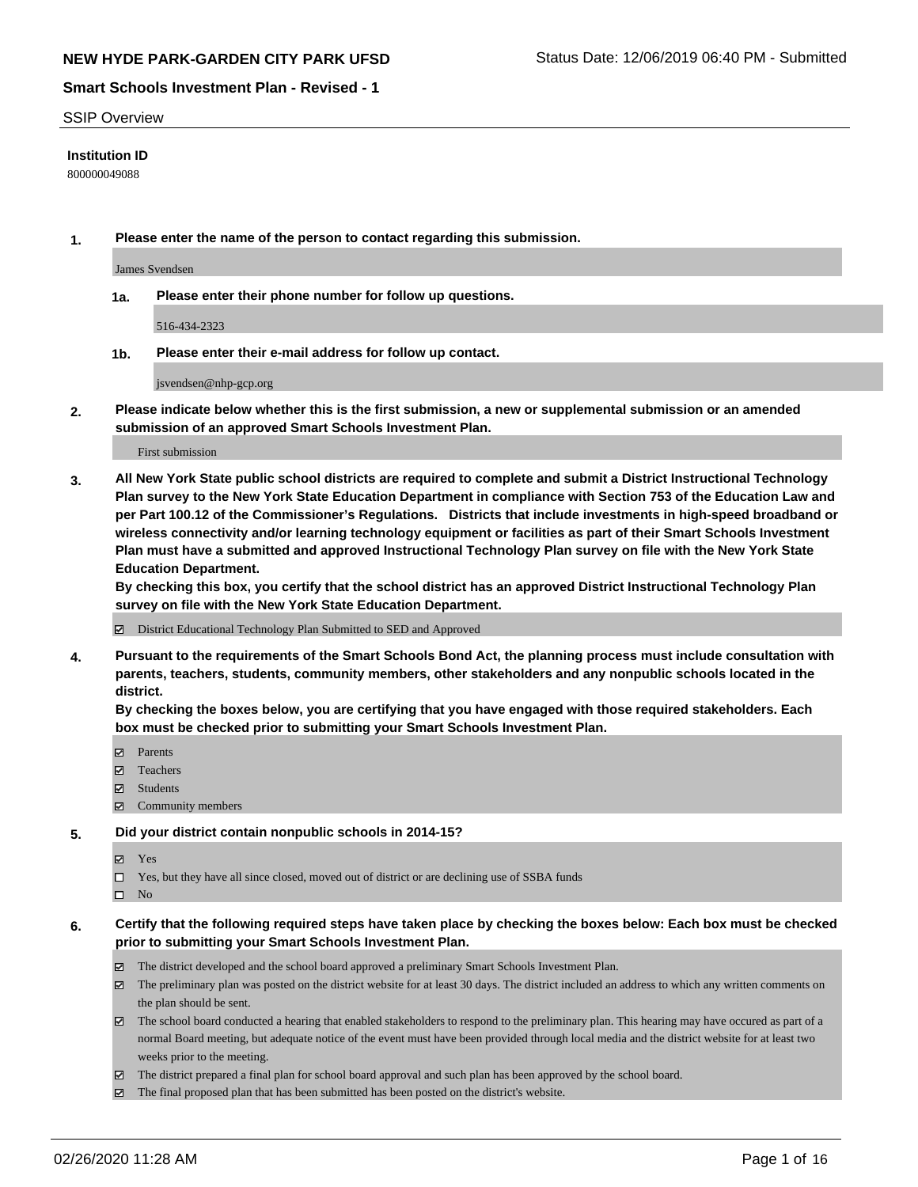#### SSIP Overview

### **Institution ID**

800000049088

**1. Please enter the name of the person to contact regarding this submission.**

James Svendsen

**1a. Please enter their phone number for follow up questions.**

516-434-2323

**1b. Please enter their e-mail address for follow up contact.**

jsvendsen@nhp-gcp.org

**2. Please indicate below whether this is the first submission, a new or supplemental submission or an amended submission of an approved Smart Schools Investment Plan.**

#### First submission

**3. All New York State public school districts are required to complete and submit a District Instructional Technology Plan survey to the New York State Education Department in compliance with Section 753 of the Education Law and per Part 100.12 of the Commissioner's Regulations. Districts that include investments in high-speed broadband or wireless connectivity and/or learning technology equipment or facilities as part of their Smart Schools Investment Plan must have a submitted and approved Instructional Technology Plan survey on file with the New York State Education Department.** 

**By checking this box, you certify that the school district has an approved District Instructional Technology Plan survey on file with the New York State Education Department.**

District Educational Technology Plan Submitted to SED and Approved

**4. Pursuant to the requirements of the Smart Schools Bond Act, the planning process must include consultation with parents, teachers, students, community members, other stakeholders and any nonpublic schools located in the district.** 

**By checking the boxes below, you are certifying that you have engaged with those required stakeholders. Each box must be checked prior to submitting your Smart Schools Investment Plan.**

- **マ** Parents
- Teachers
- Students
- Community members

#### **5. Did your district contain nonpublic schools in 2014-15?**

**冈** Yes

Yes, but they have all since closed, moved out of district or are declining use of SSBA funds

 $\square$  No

- **6. Certify that the following required steps have taken place by checking the boxes below: Each box must be checked prior to submitting your Smart Schools Investment Plan.**
	- The district developed and the school board approved a preliminary Smart Schools Investment Plan.
	- $\boxtimes$  The preliminary plan was posted on the district website for at least 30 days. The district included an address to which any written comments on the plan should be sent.
	- $\boxtimes$  The school board conducted a hearing that enabled stakeholders to respond to the preliminary plan. This hearing may have occured as part of a normal Board meeting, but adequate notice of the event must have been provided through local media and the district website for at least two weeks prior to the meeting.
	- The district prepared a final plan for school board approval and such plan has been approved by the school board.
	- $\boxtimes$  The final proposed plan that has been submitted has been posted on the district's website.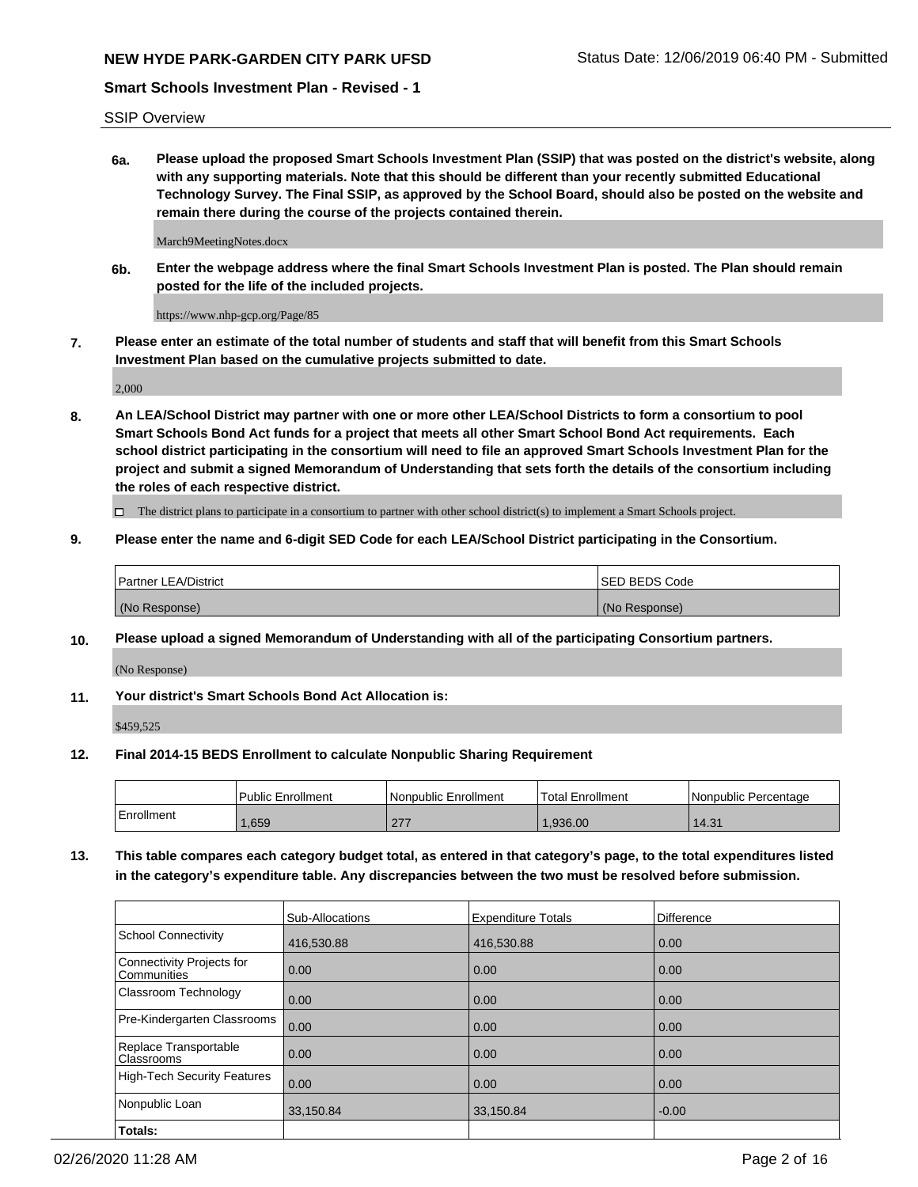SSIP Overview

**6a. Please upload the proposed Smart Schools Investment Plan (SSIP) that was posted on the district's website, along with any supporting materials. Note that this should be different than your recently submitted Educational Technology Survey. The Final SSIP, as approved by the School Board, should also be posted on the website and remain there during the course of the projects contained therein.**

March9MeetingNotes.docx

**6b. Enter the webpage address where the final Smart Schools Investment Plan is posted. The Plan should remain posted for the life of the included projects.**

https://www.nhp-gcp.org/Page/85

**7. Please enter an estimate of the total number of students and staff that will benefit from this Smart Schools Investment Plan based on the cumulative projects submitted to date.**

2,000

**8. An LEA/School District may partner with one or more other LEA/School Districts to form a consortium to pool Smart Schools Bond Act funds for a project that meets all other Smart School Bond Act requirements. Each school district participating in the consortium will need to file an approved Smart Schools Investment Plan for the project and submit a signed Memorandum of Understanding that sets forth the details of the consortium including the roles of each respective district.**

 $\Box$  The district plans to participate in a consortium to partner with other school district(s) to implement a Smart Schools project.

### **9. Please enter the name and 6-digit SED Code for each LEA/School District participating in the Consortium.**

| <sup>1</sup> Partner LEA/District | ISED BEDS Code |
|-----------------------------------|----------------|
| (No Response)                     | (No Response)  |

#### **10. Please upload a signed Memorandum of Understanding with all of the participating Consortium partners.**

(No Response)

**11. Your district's Smart Schools Bond Act Allocation is:**

\$459,525

#### **12. Final 2014-15 BEDS Enrollment to calculate Nonpublic Sharing Requirement**

|            | Public Enrollment | Nonpublic Enrollment        | Total Enrollment | I Nonpublic Percentage |
|------------|-------------------|-----------------------------|------------------|------------------------|
| Enrollment | .659              | 277<br>$\sim$ $\sim$ $\sim$ | .936.00          | 14.31                  |

**13. This table compares each category budget total, as entered in that category's page, to the total expenditures listed in the category's expenditure table. Any discrepancies between the two must be resolved before submission.**

|                                          | Sub-Allocations | <b>Expenditure Totals</b> | Difference |
|------------------------------------------|-----------------|---------------------------|------------|
| <b>School Connectivity</b>               | 416,530.88      | 416,530.88                | 0.00       |
| Connectivity Projects for<br>Communities | 0.00            | 0.00                      | 0.00       |
| Classroom Technology                     | 0.00            | 0.00                      | 0.00       |
| Pre-Kindergarten Classrooms              | 0.00            | 0.00                      | 0.00       |
| Replace Transportable<br>Classrooms      | 0.00            | 0.00                      | 0.00       |
| <b>High-Tech Security Features</b>       | 0.00            | 0.00                      | 0.00       |
| Nonpublic Loan                           | 33,150.84       | 33,150.84                 | $-0.00$    |
| Totals:                                  |                 |                           |            |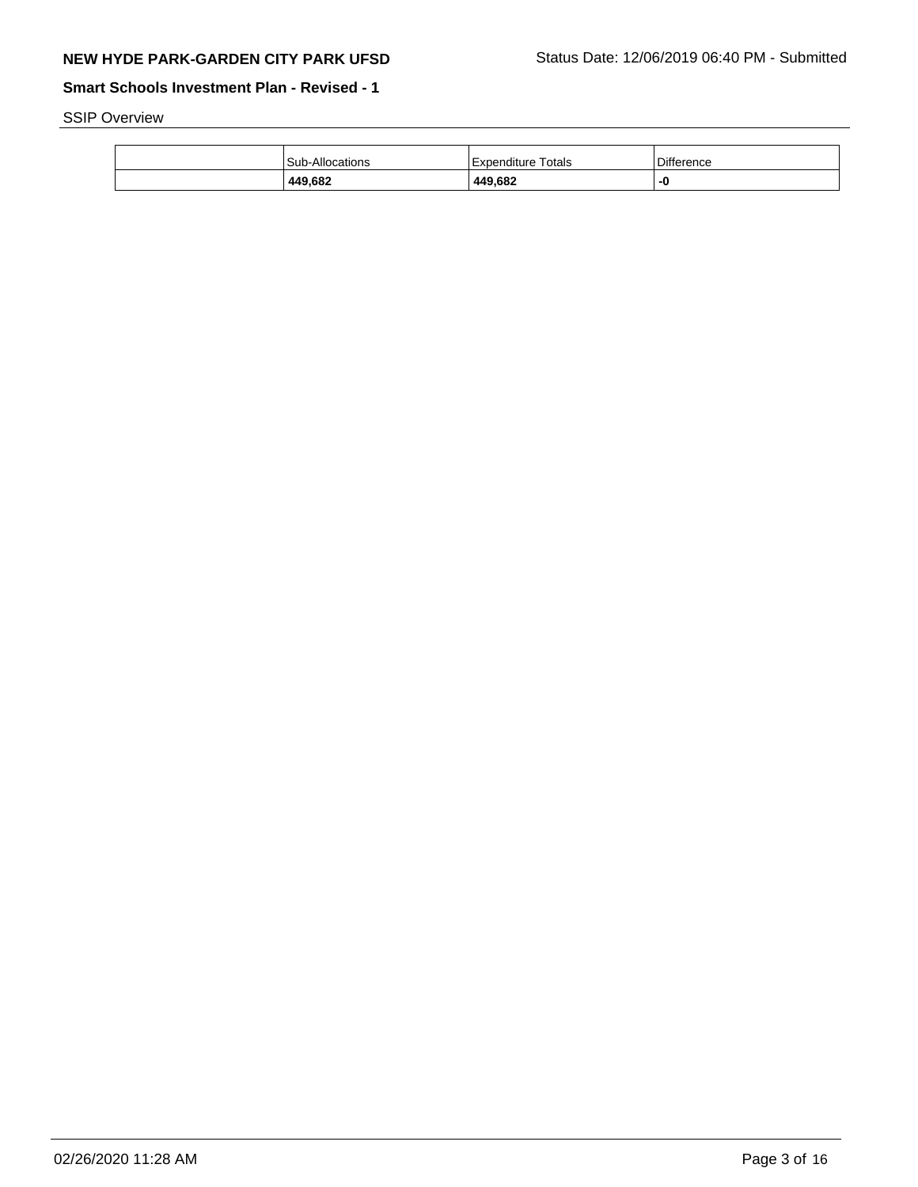SSIP Overview

| 449,682         | 449,682               | -0         |
|-----------------|-----------------------|------------|
| Sub-Allocations | Totals<br>Expenditure | Difference |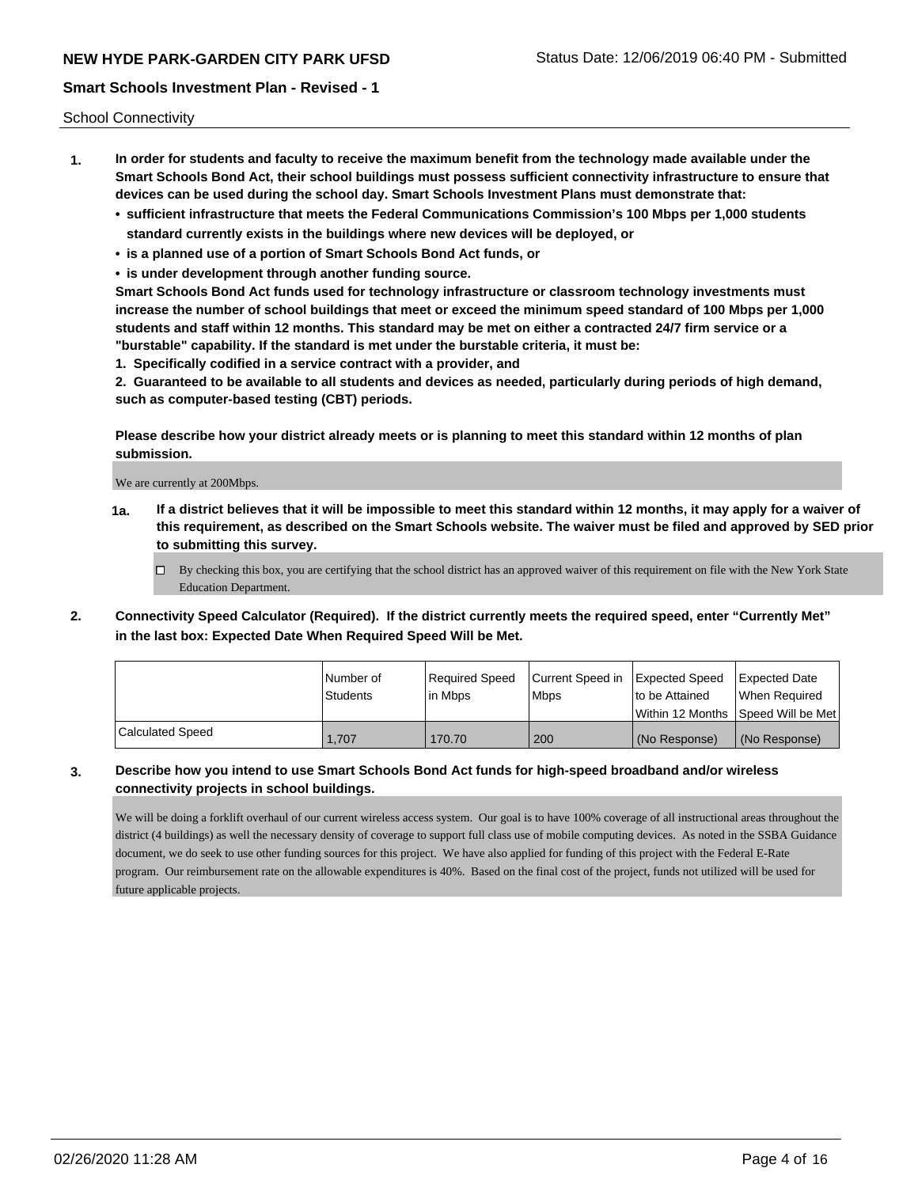School Connectivity

- **1. In order for students and faculty to receive the maximum benefit from the technology made available under the Smart Schools Bond Act, their school buildings must possess sufficient connectivity infrastructure to ensure that devices can be used during the school day. Smart Schools Investment Plans must demonstrate that:**
	- **• sufficient infrastructure that meets the Federal Communications Commission's 100 Mbps per 1,000 students standard currently exists in the buildings where new devices will be deployed, or**
	- **• is a planned use of a portion of Smart Schools Bond Act funds, or**
	- **• is under development through another funding source.**

**Smart Schools Bond Act funds used for technology infrastructure or classroom technology investments must increase the number of school buildings that meet or exceed the minimum speed standard of 100 Mbps per 1,000 students and staff within 12 months. This standard may be met on either a contracted 24/7 firm service or a "burstable" capability. If the standard is met under the burstable criteria, it must be:**

**1. Specifically codified in a service contract with a provider, and**

**2. Guaranteed to be available to all students and devices as needed, particularly during periods of high demand, such as computer-based testing (CBT) periods.**

**Please describe how your district already meets or is planning to meet this standard within 12 months of plan submission.**

We are currently at 200Mbps.

**1a. If a district believes that it will be impossible to meet this standard within 12 months, it may apply for a waiver of this requirement, as described on the Smart Schools website. The waiver must be filed and approved by SED prior to submitting this survey.**

 $\Box$  By checking this box, you are certifying that the school district has an approved waiver of this requirement on file with the New York State Education Department.

**2. Connectivity Speed Calculator (Required). If the district currently meets the required speed, enter "Currently Met" in the last box: Expected Date When Required Speed Will be Met.**

|                  | l Number of<br><b>Students</b> | Required Speed<br>l in Mbps | Current Speed in Expected Speed<br>l Mbps | to be Attained | Expected Date<br>When Required     |
|------------------|--------------------------------|-----------------------------|-------------------------------------------|----------------|------------------------------------|
|                  |                                |                             |                                           |                | Within 12 Months Speed Will be Met |
| Calculated Speed | 1.707                          | 170.70                      | 200                                       | (No Response)  | (No Response)                      |

# **3. Describe how you intend to use Smart Schools Bond Act funds for high-speed broadband and/or wireless connectivity projects in school buildings.**

We will be doing a forklift overhaul of our current wireless access system. Our goal is to have 100% coverage of all instructional areas throughout the district (4 buildings) as well the necessary density of coverage to support full class use of mobile computing devices. As noted in the SSBA Guidance document, we do seek to use other funding sources for this project. We have also applied for funding of this project with the Federal E-Rate program. Our reimbursement rate on the allowable expenditures is 40%. Based on the final cost of the project, funds not utilized will be used for future applicable projects.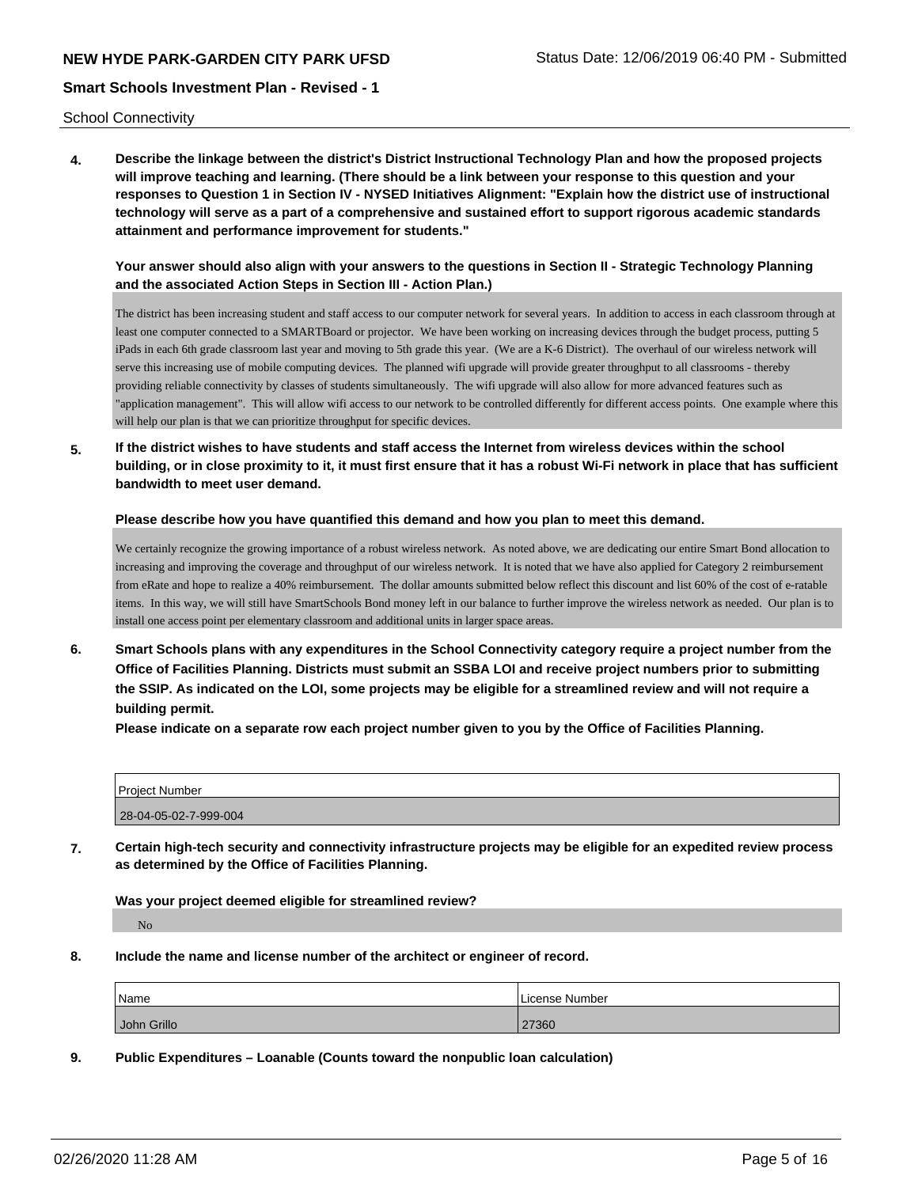School Connectivity

**4. Describe the linkage between the district's District Instructional Technology Plan and how the proposed projects will improve teaching and learning. (There should be a link between your response to this question and your responses to Question 1 in Section IV - NYSED Initiatives Alignment: "Explain how the district use of instructional technology will serve as a part of a comprehensive and sustained effort to support rigorous academic standards attainment and performance improvement for students."** 

**Your answer should also align with your answers to the questions in Section II - Strategic Technology Planning and the associated Action Steps in Section III - Action Plan.)**

The district has been increasing student and staff access to our computer network for several years. In addition to access in each classroom through at least one computer connected to a SMARTBoard or projector. We have been working on increasing devices through the budget process, putting 5 iPads in each 6th grade classroom last year and moving to 5th grade this year. (We are a K-6 District). The overhaul of our wireless network will serve this increasing use of mobile computing devices. The planned wifi upgrade will provide greater throughput to all classrooms - thereby providing reliable connectivity by classes of students simultaneously. The wifi upgrade will also allow for more advanced features such as "application management". This will allow wifi access to our network to be controlled differently for different access points. One example where this will help our plan is that we can prioritize throughput for specific devices.

**5. If the district wishes to have students and staff access the Internet from wireless devices within the school building, or in close proximity to it, it must first ensure that it has a robust Wi-Fi network in place that has sufficient bandwidth to meet user demand.**

**Please describe how you have quantified this demand and how you plan to meet this demand.**

We certainly recognize the growing importance of a robust wireless network. As noted above, we are dedicating our entire Smart Bond allocation to increasing and improving the coverage and throughput of our wireless network. It is noted that we have also applied for Category 2 reimbursement from eRate and hope to realize a 40% reimbursement. The dollar amounts submitted below reflect this discount and list 60% of the cost of e-ratable items. In this way, we will still have SmartSchools Bond money left in our balance to further improve the wireless network as needed. Our plan is to install one access point per elementary classroom and additional units in larger space areas.

**6. Smart Schools plans with any expenditures in the School Connectivity category require a project number from the Office of Facilities Planning. Districts must submit an SSBA LOI and receive project numbers prior to submitting the SSIP. As indicated on the LOI, some projects may be eligible for a streamlined review and will not require a building permit.**

**Please indicate on a separate row each project number given to you by the Office of Facilities Planning.**

| <b>Project Number</b> |  |
|-----------------------|--|
| 28-04-05-02-7-999-004 |  |

**7. Certain high-tech security and connectivity infrastructure projects may be eligible for an expedited review process as determined by the Office of Facilities Planning.**

**Was your project deemed eligible for streamlined review?**

No

**8. Include the name and license number of the architect or engineer of record.**

| Name        | License Number |
|-------------|----------------|
| John Grillo | 27360          |

**9. Public Expenditures – Loanable (Counts toward the nonpublic loan calculation)**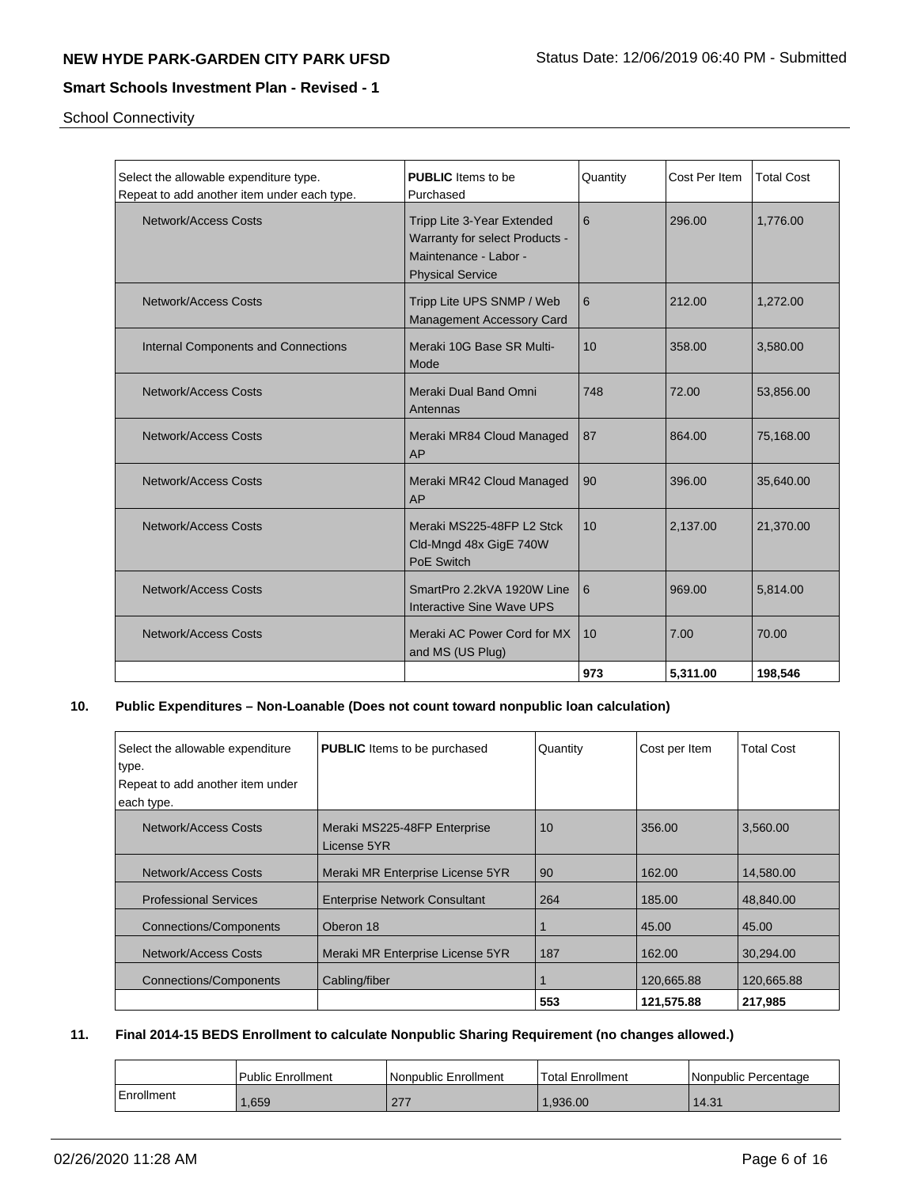School Connectivity

| Select the allowable expenditure type.<br>Repeat to add another item under each type. | <b>PUBLIC</b> Items to be<br>Purchased                                                                           | Quantity | Cost Per Item | <b>Total Cost</b> |
|---------------------------------------------------------------------------------------|------------------------------------------------------------------------------------------------------------------|----------|---------------|-------------------|
| Network/Access Costs                                                                  | Tripp Lite 3-Year Extended<br>Warranty for select Products -<br>Maintenance - Labor -<br><b>Physical Service</b> | 6        | 296.00        | 1,776.00          |
| Network/Access Costs                                                                  | Tripp Lite UPS SNMP / Web<br>Management Accessory Card                                                           | 6        | 212.00        | 1,272.00          |
| Internal Components and Connections                                                   | Meraki 10G Base SR Multi-<br>Mode                                                                                | 10       | 358.00        | 3,580.00          |
| <b>Network/Access Costs</b>                                                           | Meraki Dual Band Omni<br>Antennas                                                                                | 748      | 72.00         | 53,856.00         |
| <b>Network/Access Costs</b>                                                           | Meraki MR84 Cloud Managed<br>AP                                                                                  | 87       | 864.00        | 75,168.00         |
| <b>Network/Access Costs</b>                                                           | Meraki MR42 Cloud Managed<br>AP                                                                                  | 90       | 396.00        | 35,640.00         |
| Network/Access Costs                                                                  | Meraki MS225-48FP L2 Stck<br>Cld-Mngd 48x GigE 740W<br>PoE Switch                                                | 10       | 2,137.00      | 21,370.00         |
| Network/Access Costs                                                                  | SmartPro 2.2kVA 1920W Line<br><b>Interactive Sine Wave UPS</b>                                                   | l 6      | 969.00        | 5,814.00          |
| Network/Access Costs                                                                  | Meraki AC Power Cord for MX<br>and MS (US Plug)                                                                  | 10       | 7.00          | 70.00             |
|                                                                                       |                                                                                                                  | 973      | 5,311.00      | 198,546           |

# **10. Public Expenditures – Non-Loanable (Does not count toward nonpublic loan calculation)**

| Select the allowable expenditure<br>type. | <b>PUBLIC</b> Items to be purchased  | Quantity | Cost per Item | <b>Total Cost</b> |
|-------------------------------------------|--------------------------------------|----------|---------------|-------------------|
| Repeat to add another item under          |                                      |          |               |                   |
| each type.                                |                                      |          |               |                   |
| Network/Access Costs                      | Meraki MS225-48FP Enterprise         | 10       | 356.00        | 3,560.00          |
|                                           | License 5YR                          |          |               |                   |
| Network/Access Costs                      | Meraki MR Enterprise License 5YR     | 90       | 162.00        | 14.580.00         |
| <b>Professional Services</b>              | <b>Enterprise Network Consultant</b> | 264      | 185.00        | 48.840.00         |
| <b>Connections/Components</b>             | Oberon 18                            |          | 45.00         | 45.00             |
| Network/Access Costs                      | Meraki MR Enterprise License 5YR     | 187      | 162.00        | 30,294.00         |
| <b>Connections/Components</b>             | Cabling/fiber                        |          | 120,665.88    | 120,665.88        |
|                                           |                                      | 553      | 121,575.88    | 217,985           |

# **11. Final 2014-15 BEDS Enrollment to calculate Nonpublic Sharing Requirement (no changes allowed.)**

|            | l Public Enrollment | Nonpublic Enrollment | <b>Total Enrollment</b> | l Nonpublic Percentage |
|------------|---------------------|----------------------|-------------------------|------------------------|
| Enrollment | .659                |                      | .936.00                 | 14.31                  |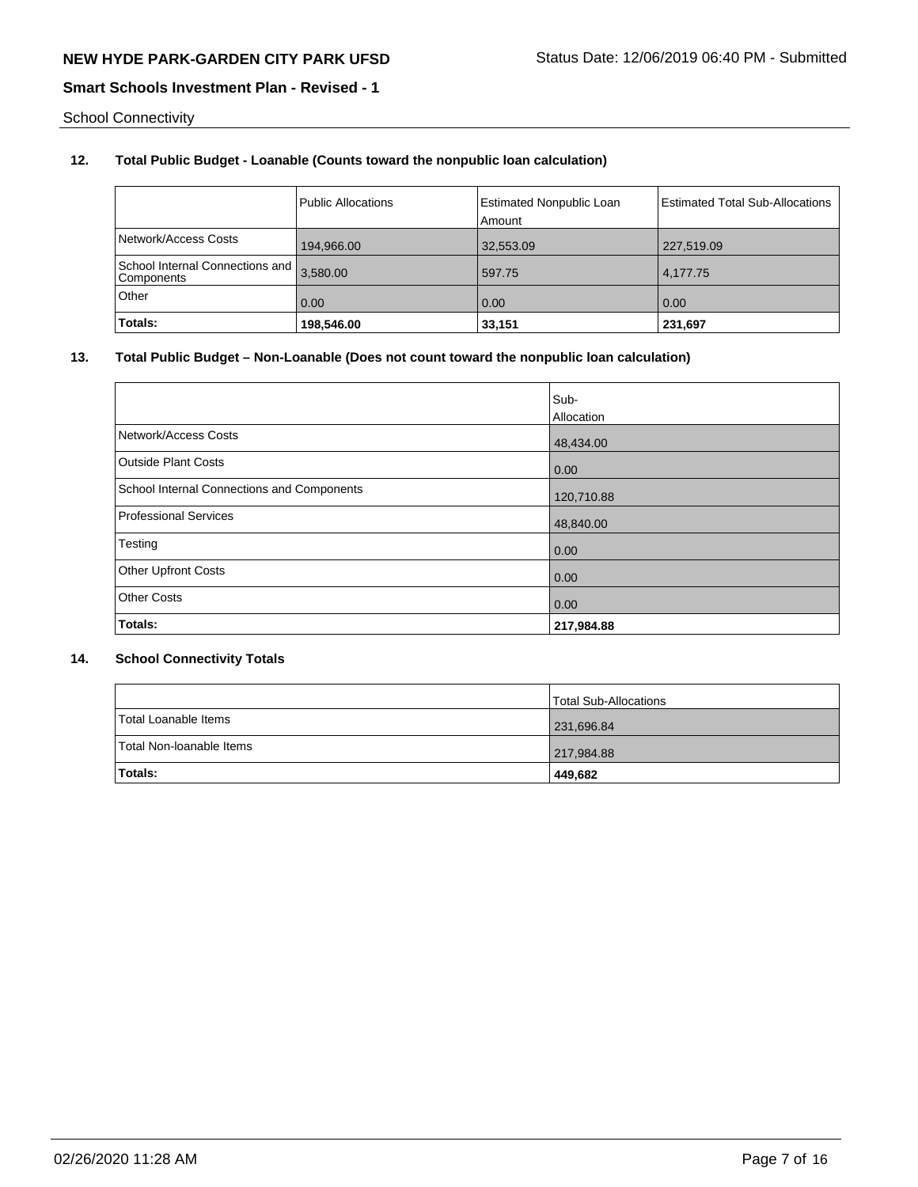School Connectivity

# **12. Total Public Budget - Loanable (Counts toward the nonpublic loan calculation)**

|                                               | <b>Public Allocations</b> | <b>Estimated Nonpublic Loan</b><br>Amount | <b>Estimated Total Sub-Allocations</b> |
|-----------------------------------------------|---------------------------|-------------------------------------------|----------------------------------------|
| Network/Access Costs                          | 194,966.00                | 32,553.09                                 | 227,519.09                             |
| School Internal Connections and<br>Components | 3.580.00                  | 597.75                                    | 4.177.75                               |
| Other                                         | 0.00                      | 0.00                                      | 0.00                                   |
| Totals:                                       | 198,546.00                | 33,151                                    | 231,697                                |

# **13. Total Public Budget – Non-Loanable (Does not count toward the nonpublic loan calculation)**

|                                            | Sub-       |
|--------------------------------------------|------------|
|                                            | Allocation |
| Network/Access Costs                       | 48,434.00  |
| <b>Outside Plant Costs</b>                 | 0.00       |
| School Internal Connections and Components | 120,710.88 |
| Professional Services                      | 48,840.00  |
| Testing                                    | 0.00       |
| <b>Other Upfront Costs</b>                 | 0.00       |
| <b>Other Costs</b>                         | 0.00       |
| Totals:                                    | 217,984.88 |

# **14. School Connectivity Totals**

|                          | <b>Total Sub-Allocations</b> |
|--------------------------|------------------------------|
| Total Loanable Items     | 231,696.84                   |
| Total Non-Ioanable Items | 217,984.88                   |
| <b>Totals:</b>           | 449,682                      |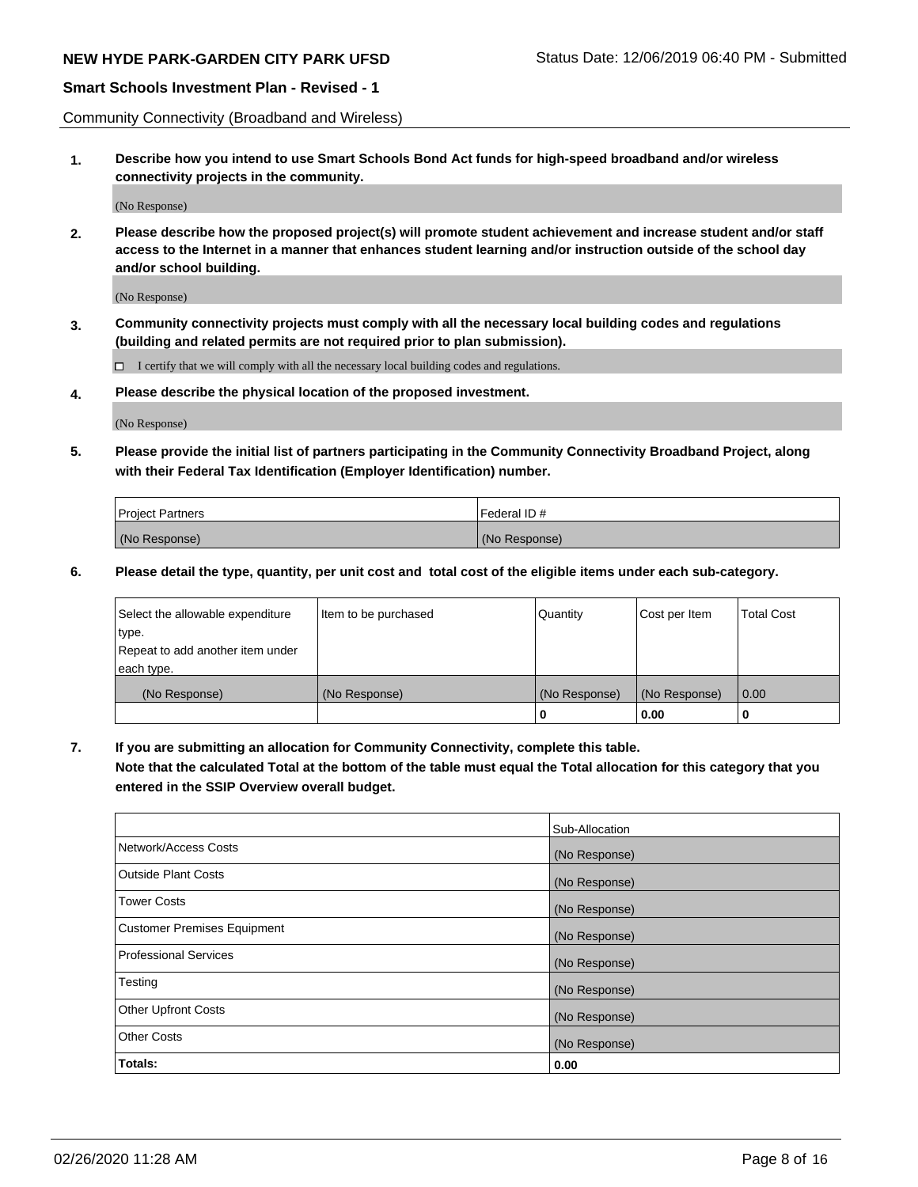# **NEW HYDE PARK-GARDEN CITY PARK UFSD** Status Date: 12/06/2019 06:40 PM - Submitted

# **Smart Schools Investment Plan - Revised - 1**

Community Connectivity (Broadband and Wireless)

**1. Describe how you intend to use Smart Schools Bond Act funds for high-speed broadband and/or wireless connectivity projects in the community.**

(No Response)

**2. Please describe how the proposed project(s) will promote student achievement and increase student and/or staff access to the Internet in a manner that enhances student learning and/or instruction outside of the school day and/or school building.**

(No Response)

**3. Community connectivity projects must comply with all the necessary local building codes and regulations (building and related permits are not required prior to plan submission).**

 $\Box$  I certify that we will comply with all the necessary local building codes and regulations.

**4. Please describe the physical location of the proposed investment.**

(No Response)

**5. Please provide the initial list of partners participating in the Community Connectivity Broadband Project, along with their Federal Tax Identification (Employer Identification) number.**

| <b>Project Partners</b> | l Federal ID # |
|-------------------------|----------------|
| (No Response)           | (No Response)  |

**6. Please detail the type, quantity, per unit cost and total cost of the eligible items under each sub-category.**

| Select the allowable expenditure | Item to be purchased | Quantity      | Cost per Item | <b>Total Cost</b> |
|----------------------------------|----------------------|---------------|---------------|-------------------|
| type.                            |                      |               |               |                   |
| Repeat to add another item under |                      |               |               |                   |
| each type.                       |                      |               |               |                   |
| (No Response)                    | (No Response)        | (No Response) | (No Response) | 0.00              |
|                                  |                      | o             | 0.00          |                   |

**7. If you are submitting an allocation for Community Connectivity, complete this table.**

**Note that the calculated Total at the bottom of the table must equal the Total allocation for this category that you entered in the SSIP Overview overall budget.**

|                                    | Sub-Allocation |
|------------------------------------|----------------|
| Network/Access Costs               | (No Response)  |
| Outside Plant Costs                | (No Response)  |
| <b>Tower Costs</b>                 | (No Response)  |
| <b>Customer Premises Equipment</b> | (No Response)  |
| <b>Professional Services</b>       | (No Response)  |
| Testing                            | (No Response)  |
| <b>Other Upfront Costs</b>         | (No Response)  |
| <b>Other Costs</b>                 | (No Response)  |
| Totals:                            | 0.00           |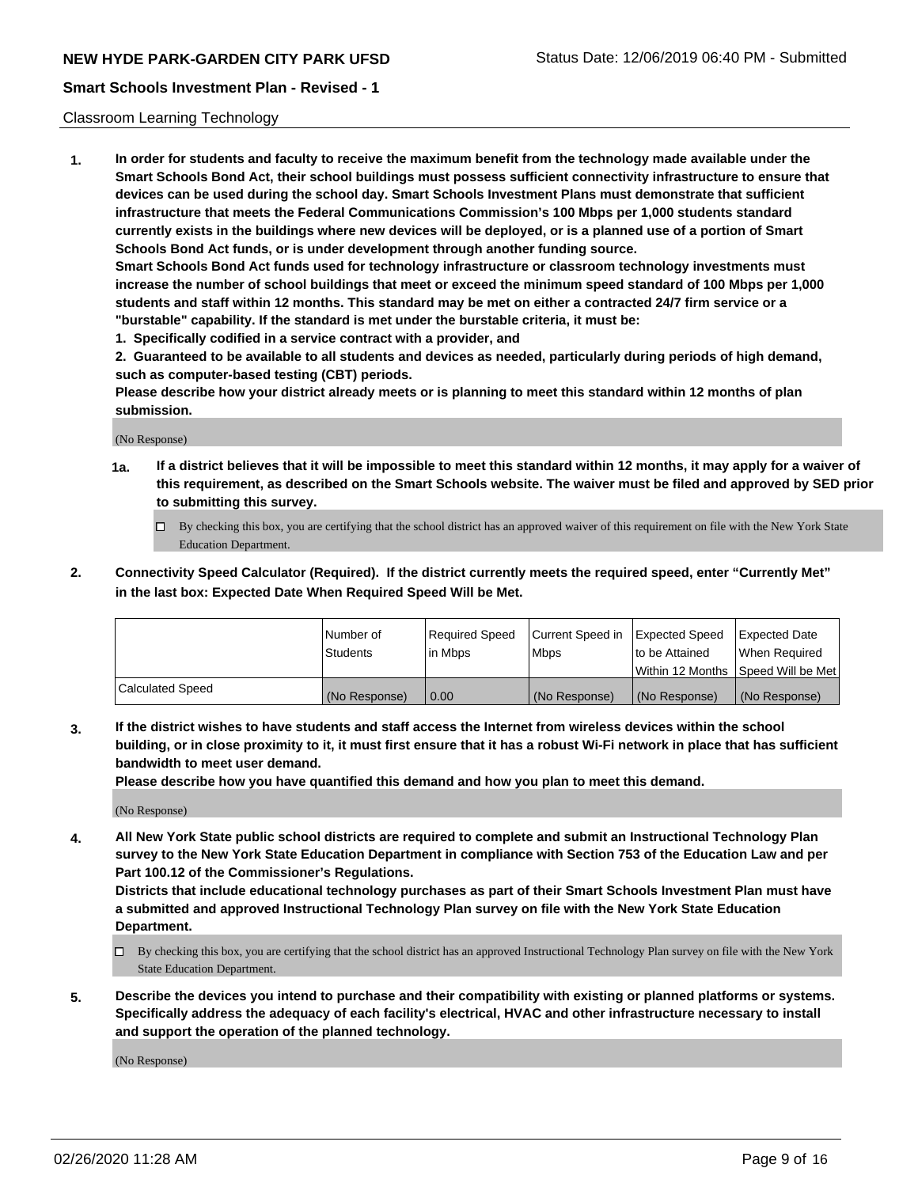#### Classroom Learning Technology

**1. In order for students and faculty to receive the maximum benefit from the technology made available under the Smart Schools Bond Act, their school buildings must possess sufficient connectivity infrastructure to ensure that devices can be used during the school day. Smart Schools Investment Plans must demonstrate that sufficient infrastructure that meets the Federal Communications Commission's 100 Mbps per 1,000 students standard currently exists in the buildings where new devices will be deployed, or is a planned use of a portion of Smart Schools Bond Act funds, or is under development through another funding source. Smart Schools Bond Act funds used for technology infrastructure or classroom technology investments must increase the number of school buildings that meet or exceed the minimum speed standard of 100 Mbps per 1,000**

**students and staff within 12 months. This standard may be met on either a contracted 24/7 firm service or a "burstable" capability. If the standard is met under the burstable criteria, it must be:**

**1. Specifically codified in a service contract with a provider, and**

**2. Guaranteed to be available to all students and devices as needed, particularly during periods of high demand, such as computer-based testing (CBT) periods.**

**Please describe how your district already meets or is planning to meet this standard within 12 months of plan submission.**

(No Response)

- **1a. If a district believes that it will be impossible to meet this standard within 12 months, it may apply for a waiver of this requirement, as described on the Smart Schools website. The waiver must be filed and approved by SED prior to submitting this survey.**
	- By checking this box, you are certifying that the school district has an approved waiver of this requirement on file with the New York State Education Department.
- **2. Connectivity Speed Calculator (Required). If the district currently meets the required speed, enter "Currently Met" in the last box: Expected Date When Required Speed Will be Met.**

|                  | l Number of     | Required Speed | Current Speed in | <b>Expected Speed</b> | <b>Expected Date</b>                |
|------------------|-----------------|----------------|------------------|-----------------------|-------------------------------------|
|                  | <b>Students</b> | l in Mbps      | l Mbps           | to be Attained        | When Required                       |
|                  |                 |                |                  |                       | Within 12 Months  Speed Will be Met |
| Calculated Speed | (No Response)   | 0.00           | (No Response)    | l (No Response)       | (No Response)                       |

**3. If the district wishes to have students and staff access the Internet from wireless devices within the school building, or in close proximity to it, it must first ensure that it has a robust Wi-Fi network in place that has sufficient bandwidth to meet user demand.**

**Please describe how you have quantified this demand and how you plan to meet this demand.**

(No Response)

**4. All New York State public school districts are required to complete and submit an Instructional Technology Plan survey to the New York State Education Department in compliance with Section 753 of the Education Law and per Part 100.12 of the Commissioner's Regulations.**

**Districts that include educational technology purchases as part of their Smart Schools Investment Plan must have a submitted and approved Instructional Technology Plan survey on file with the New York State Education Department.**

- By checking this box, you are certifying that the school district has an approved Instructional Technology Plan survey on file with the New York State Education Department.
- **5. Describe the devices you intend to purchase and their compatibility with existing or planned platforms or systems. Specifically address the adequacy of each facility's electrical, HVAC and other infrastructure necessary to install and support the operation of the planned technology.**

(No Response)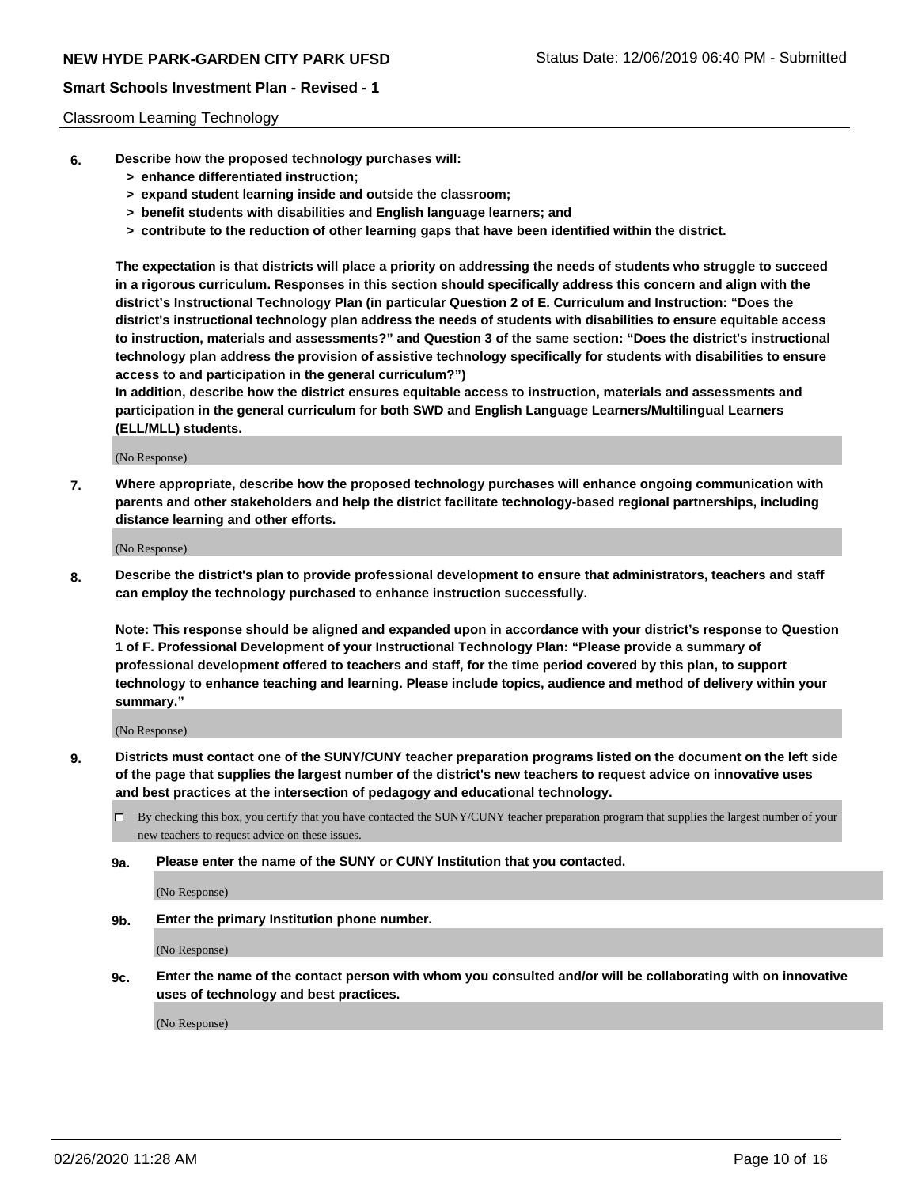#### Classroom Learning Technology

- **6. Describe how the proposed technology purchases will:**
	- **> enhance differentiated instruction;**
	- **> expand student learning inside and outside the classroom;**
	- **> benefit students with disabilities and English language learners; and**
	- **> contribute to the reduction of other learning gaps that have been identified within the district.**

**The expectation is that districts will place a priority on addressing the needs of students who struggle to succeed in a rigorous curriculum. Responses in this section should specifically address this concern and align with the district's Instructional Technology Plan (in particular Question 2 of E. Curriculum and Instruction: "Does the district's instructional technology plan address the needs of students with disabilities to ensure equitable access to instruction, materials and assessments?" and Question 3 of the same section: "Does the district's instructional technology plan address the provision of assistive technology specifically for students with disabilities to ensure access to and participation in the general curriculum?")**

**In addition, describe how the district ensures equitable access to instruction, materials and assessments and participation in the general curriculum for both SWD and English Language Learners/Multilingual Learners (ELL/MLL) students.**

(No Response)

**7. Where appropriate, describe how the proposed technology purchases will enhance ongoing communication with parents and other stakeholders and help the district facilitate technology-based regional partnerships, including distance learning and other efforts.**

(No Response)

**8. Describe the district's plan to provide professional development to ensure that administrators, teachers and staff can employ the technology purchased to enhance instruction successfully.**

**Note: This response should be aligned and expanded upon in accordance with your district's response to Question 1 of F. Professional Development of your Instructional Technology Plan: "Please provide a summary of professional development offered to teachers and staff, for the time period covered by this plan, to support technology to enhance teaching and learning. Please include topics, audience and method of delivery within your summary."**

(No Response)

- **9. Districts must contact one of the SUNY/CUNY teacher preparation programs listed on the document on the left side of the page that supplies the largest number of the district's new teachers to request advice on innovative uses and best practices at the intersection of pedagogy and educational technology.**
	- By checking this box, you certify that you have contacted the SUNY/CUNY teacher preparation program that supplies the largest number of your new teachers to request advice on these issues.
	- **9a. Please enter the name of the SUNY or CUNY Institution that you contacted.**

(No Response)

**9b. Enter the primary Institution phone number.**

(No Response)

**9c. Enter the name of the contact person with whom you consulted and/or will be collaborating with on innovative uses of technology and best practices.**

(No Response)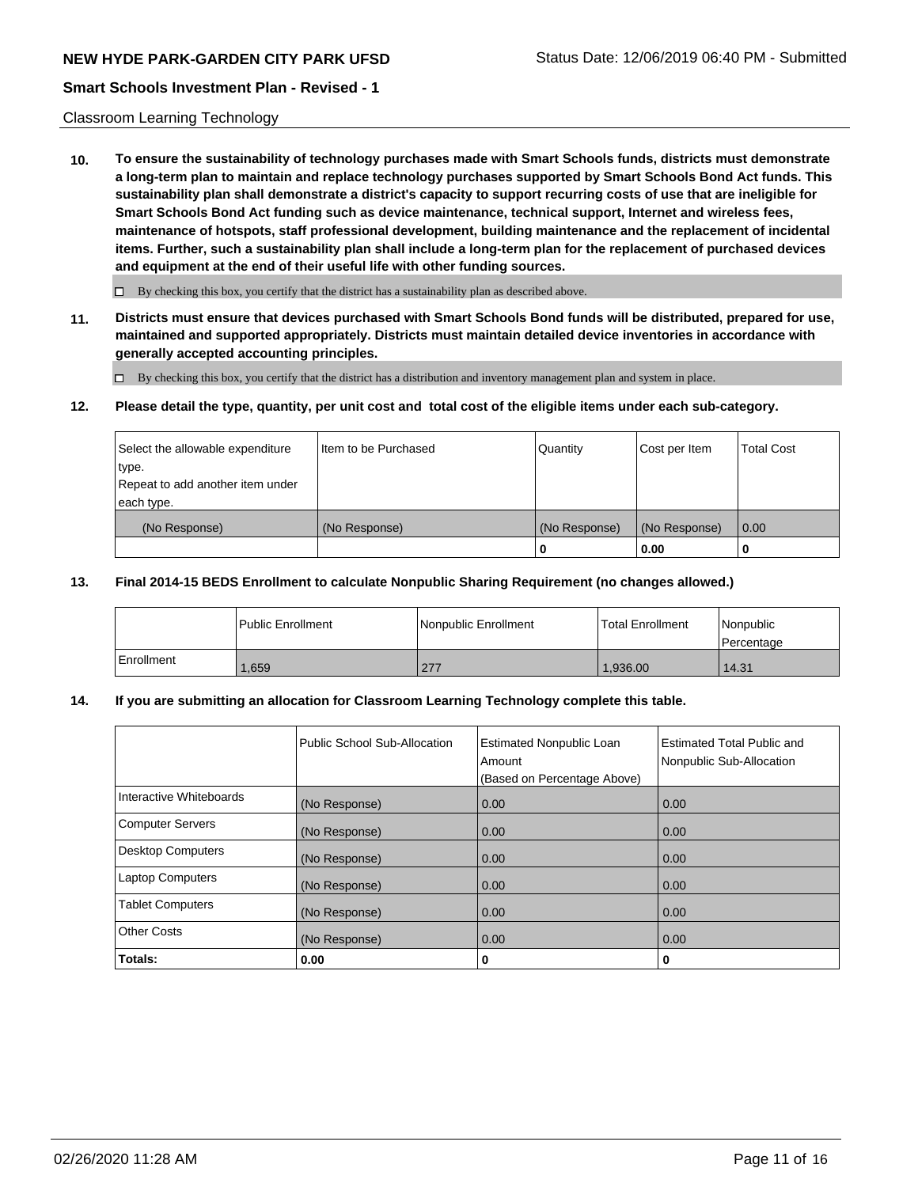#### Classroom Learning Technology

**10. To ensure the sustainability of technology purchases made with Smart Schools funds, districts must demonstrate a long-term plan to maintain and replace technology purchases supported by Smart Schools Bond Act funds. This sustainability plan shall demonstrate a district's capacity to support recurring costs of use that are ineligible for Smart Schools Bond Act funding such as device maintenance, technical support, Internet and wireless fees, maintenance of hotspots, staff professional development, building maintenance and the replacement of incidental items. Further, such a sustainability plan shall include a long-term plan for the replacement of purchased devices and equipment at the end of their useful life with other funding sources.**

 $\Box$  By checking this box, you certify that the district has a sustainability plan as described above.

**11. Districts must ensure that devices purchased with Smart Schools Bond funds will be distributed, prepared for use, maintained and supported appropriately. Districts must maintain detailed device inventories in accordance with generally accepted accounting principles.**

By checking this box, you certify that the district has a distribution and inventory management plan and system in place.

#### **12. Please detail the type, quantity, per unit cost and total cost of the eligible items under each sub-category.**

| Select the allowable expenditure<br>type.      | Item to be Purchased | Quantity      | Cost per Item | <b>Total Cost</b> |
|------------------------------------------------|----------------------|---------------|---------------|-------------------|
| Repeat to add another item under<br>each type. |                      |               |               |                   |
| (No Response)                                  | (No Response)        | (No Response) | (No Response) | 0.00              |
|                                                |                      |               | 0.00          |                   |

#### **13. Final 2014-15 BEDS Enrollment to calculate Nonpublic Sharing Requirement (no changes allowed.)**

|            | l Public Enrollment | <b>INonpublic Enrollment</b> | <b>Total Enrollment</b> | Nonpublic<br>l Percentage |
|------------|---------------------|------------------------------|-------------------------|---------------------------|
| Enrollment | .659                | 277                          | 1.936.00                | 14.31                     |

### **14. If you are submitting an allocation for Classroom Learning Technology complete this table.**

|                         | Public School Sub-Allocation | <b>Estimated Nonpublic Loan</b><br>Amount<br>(Based on Percentage Above) | Estimated Total Public and<br>Nonpublic Sub-Allocation |
|-------------------------|------------------------------|--------------------------------------------------------------------------|--------------------------------------------------------|
| Interactive Whiteboards | (No Response)                | 0.00                                                                     | 0.00                                                   |
| Computer Servers        | (No Response)                | 0.00                                                                     | 0.00                                                   |
| Desktop Computers       | (No Response)                | 0.00                                                                     | 0.00                                                   |
| <b>Laptop Computers</b> | (No Response)                | 0.00                                                                     | 0.00                                                   |
| <b>Tablet Computers</b> | (No Response)                | 0.00                                                                     | 0.00                                                   |
| <b>Other Costs</b>      | (No Response)                | 0.00                                                                     | 0.00                                                   |
| Totals:                 | 0.00                         | 0                                                                        | 0                                                      |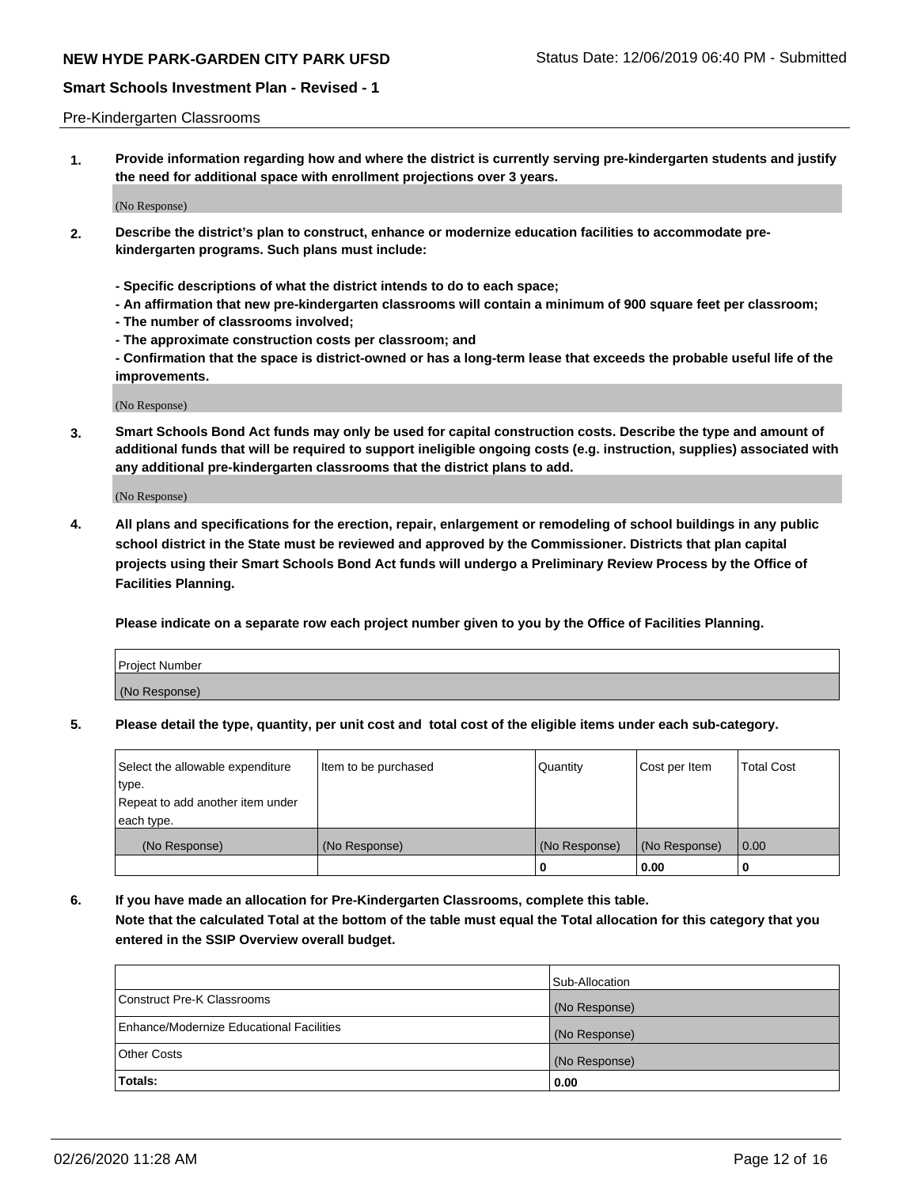#### Pre-Kindergarten Classrooms

**1. Provide information regarding how and where the district is currently serving pre-kindergarten students and justify the need for additional space with enrollment projections over 3 years.**

(No Response)

- **2. Describe the district's plan to construct, enhance or modernize education facilities to accommodate prekindergarten programs. Such plans must include:**
	- **Specific descriptions of what the district intends to do to each space;**
	- **An affirmation that new pre-kindergarten classrooms will contain a minimum of 900 square feet per classroom;**
	- **The number of classrooms involved;**
	- **The approximate construction costs per classroom; and**
	- **Confirmation that the space is district-owned or has a long-term lease that exceeds the probable useful life of the improvements.**

(No Response)

**3. Smart Schools Bond Act funds may only be used for capital construction costs. Describe the type and amount of additional funds that will be required to support ineligible ongoing costs (e.g. instruction, supplies) associated with any additional pre-kindergarten classrooms that the district plans to add.**

(No Response)

**4. All plans and specifications for the erection, repair, enlargement or remodeling of school buildings in any public school district in the State must be reviewed and approved by the Commissioner. Districts that plan capital projects using their Smart Schools Bond Act funds will undergo a Preliminary Review Process by the Office of Facilities Planning.**

**Please indicate on a separate row each project number given to you by the Office of Facilities Planning.**

| Project Number |  |
|----------------|--|
| (No Response)  |  |
|                |  |

**5. Please detail the type, quantity, per unit cost and total cost of the eligible items under each sub-category.**

| Select the allowable expenditure | Item to be purchased | Quantity      | Cost per Item | <b>Total Cost</b> |
|----------------------------------|----------------------|---------------|---------------|-------------------|
| type.                            |                      |               |               |                   |
| Repeat to add another item under |                      |               |               |                   |
| each type.                       |                      |               |               |                   |
| (No Response)                    | (No Response)        | (No Response) | (No Response) | 0.00              |
|                                  |                      | o             | 0.00          | u                 |

**6. If you have made an allocation for Pre-Kindergarten Classrooms, complete this table. Note that the calculated Total at the bottom of the table must equal the Total allocation for this category that you entered in the SSIP Overview overall budget.**

|                                          | Sub-Allocation |
|------------------------------------------|----------------|
| Construct Pre-K Classrooms               | (No Response)  |
| Enhance/Modernize Educational Facilities | (No Response)  |
| <b>Other Costs</b>                       | (No Response)  |
| Totals:                                  | 0.00           |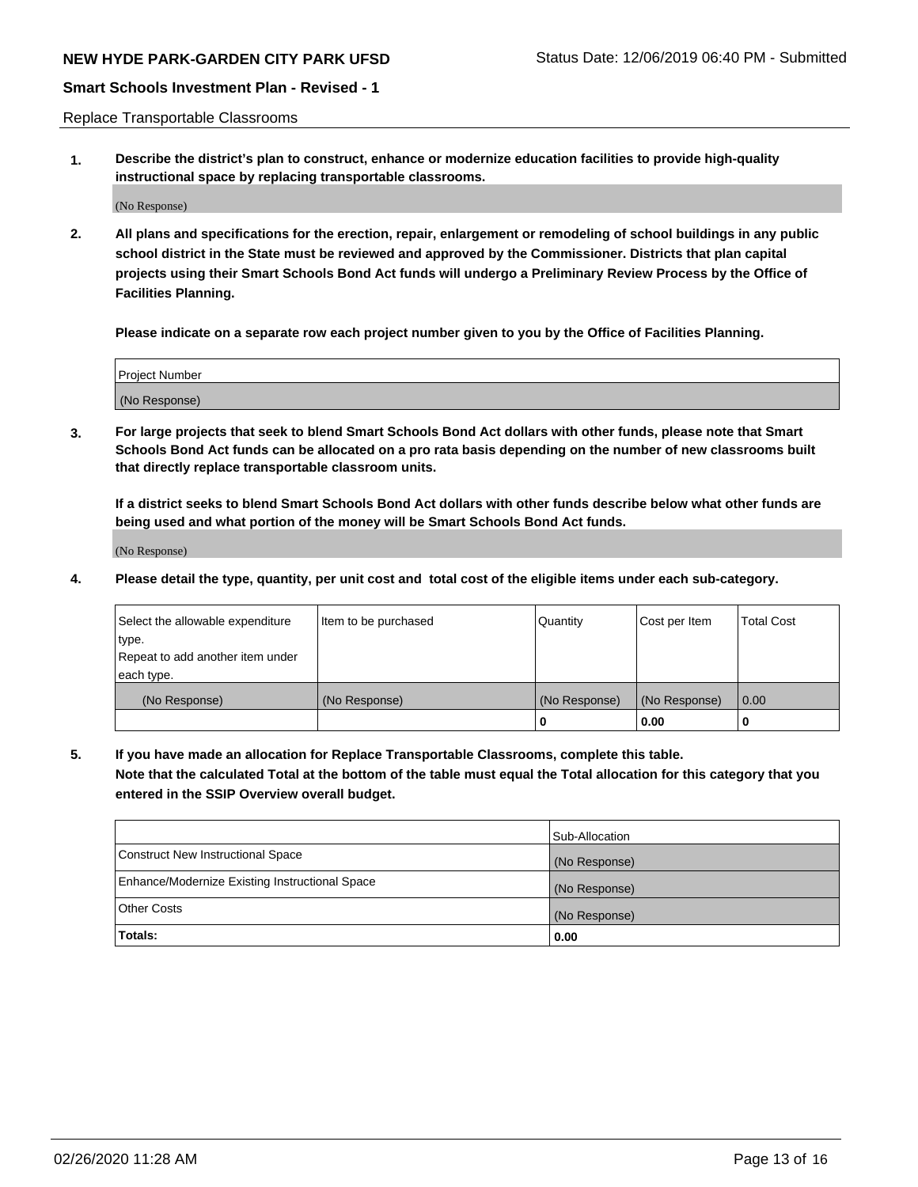Replace Transportable Classrooms

**1. Describe the district's plan to construct, enhance or modernize education facilities to provide high-quality instructional space by replacing transportable classrooms.**

(No Response)

**2. All plans and specifications for the erection, repair, enlargement or remodeling of school buildings in any public school district in the State must be reviewed and approved by the Commissioner. Districts that plan capital projects using their Smart Schools Bond Act funds will undergo a Preliminary Review Process by the Office of Facilities Planning.**

**Please indicate on a separate row each project number given to you by the Office of Facilities Planning.**

| Project Number |  |
|----------------|--|
|                |  |
|                |  |
|                |  |
|                |  |
| (No Response)  |  |
|                |  |
|                |  |
|                |  |

**3. For large projects that seek to blend Smart Schools Bond Act dollars with other funds, please note that Smart Schools Bond Act funds can be allocated on a pro rata basis depending on the number of new classrooms built that directly replace transportable classroom units.**

**If a district seeks to blend Smart Schools Bond Act dollars with other funds describe below what other funds are being used and what portion of the money will be Smart Schools Bond Act funds.**

(No Response)

**4. Please detail the type, quantity, per unit cost and total cost of the eligible items under each sub-category.**

| Select the allowable expenditure | Item to be purchased | Quantity      | Cost per Item | Total Cost |
|----------------------------------|----------------------|---------------|---------------|------------|
| ∣type.                           |                      |               |               |            |
| Repeat to add another item under |                      |               |               |            |
| each type.                       |                      |               |               |            |
| (No Response)                    | (No Response)        | (No Response) | (No Response) | 0.00       |
|                                  |                      | u             | 0.00          |            |

**5. If you have made an allocation for Replace Transportable Classrooms, complete this table. Note that the calculated Total at the bottom of the table must equal the Total allocation for this category that you entered in the SSIP Overview overall budget.**

|                                                | Sub-Allocation |
|------------------------------------------------|----------------|
| Construct New Instructional Space              | (No Response)  |
| Enhance/Modernize Existing Instructional Space | (No Response)  |
| Other Costs                                    | (No Response)  |
| Totals:                                        | 0.00           |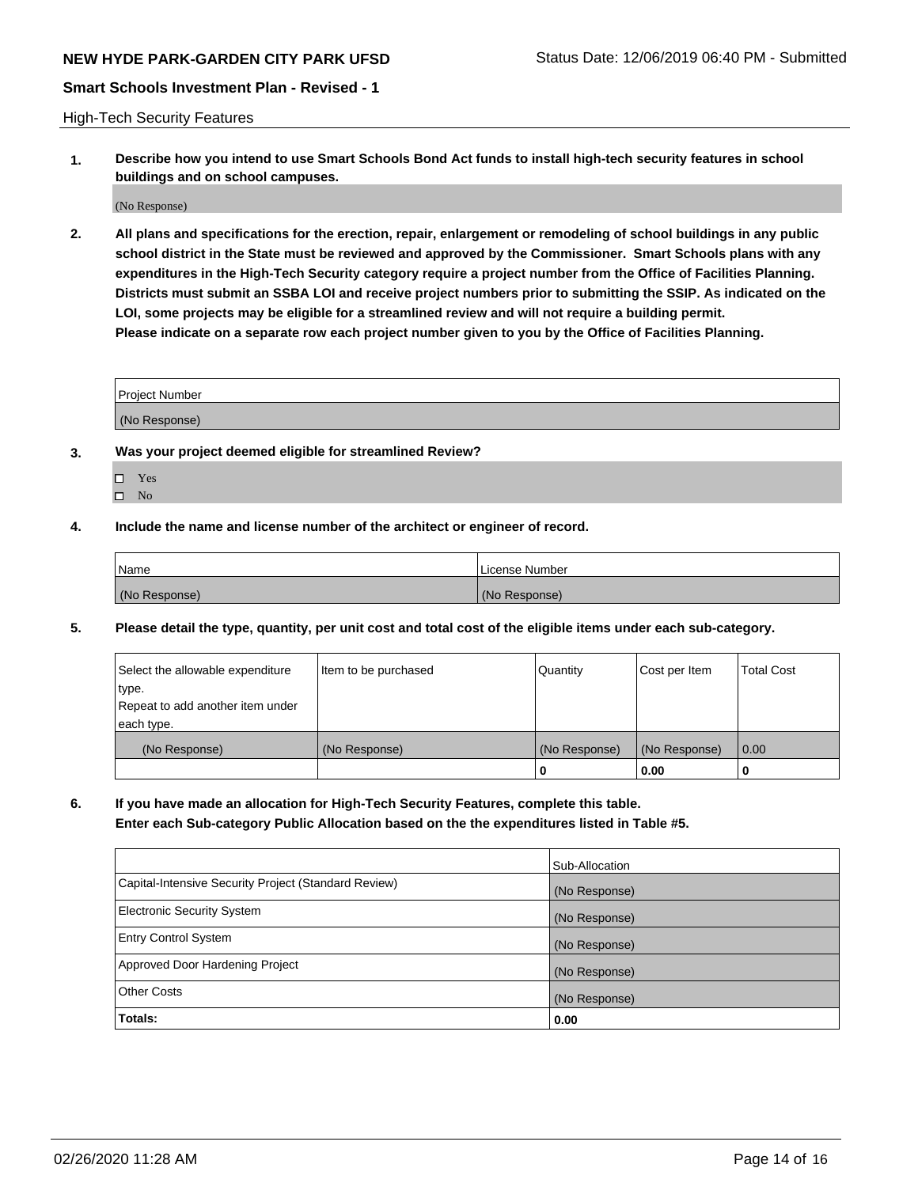High-Tech Security Features

**1. Describe how you intend to use Smart Schools Bond Act funds to install high-tech security features in school buildings and on school campuses.**

(No Response)

**2. All plans and specifications for the erection, repair, enlargement or remodeling of school buildings in any public school district in the State must be reviewed and approved by the Commissioner. Smart Schools plans with any expenditures in the High-Tech Security category require a project number from the Office of Facilities Planning. Districts must submit an SSBA LOI and receive project numbers prior to submitting the SSIP. As indicated on the LOI, some projects may be eligible for a streamlined review and will not require a building permit. Please indicate on a separate row each project number given to you by the Office of Facilities Planning.**

| <b>Project Number</b> |  |
|-----------------------|--|
| (No Response)         |  |

- **3. Was your project deemed eligible for streamlined Review?**
	- Yes
	- $\hfill \Box$  No
- **4. Include the name and license number of the architect or engineer of record.**

| Name          | License Number |
|---------------|----------------|
| (No Response) | (No Response)  |

**5. Please detail the type, quantity, per unit cost and total cost of the eligible items under each sub-category.**

| Select the allowable expenditure | Item to be purchased | Quantity      | Cost per Item | <b>Total Cost</b> |
|----------------------------------|----------------------|---------------|---------------|-------------------|
| 'type.                           |                      |               |               |                   |
| Repeat to add another item under |                      |               |               |                   |
| each type.                       |                      |               |               |                   |
| (No Response)                    | (No Response)        | (No Response) | (No Response) | 0.00              |
|                                  |                      | U             | 0.00          |                   |

**6. If you have made an allocation for High-Tech Security Features, complete this table.**

**Enter each Sub-category Public Allocation based on the the expenditures listed in Table #5.**

|                                                      | Sub-Allocation |
|------------------------------------------------------|----------------|
| Capital-Intensive Security Project (Standard Review) | (No Response)  |
| <b>Electronic Security System</b>                    | (No Response)  |
| <b>Entry Control System</b>                          | (No Response)  |
| Approved Door Hardening Project                      | (No Response)  |
| <b>Other Costs</b>                                   | (No Response)  |
| Totals:                                              | 0.00           |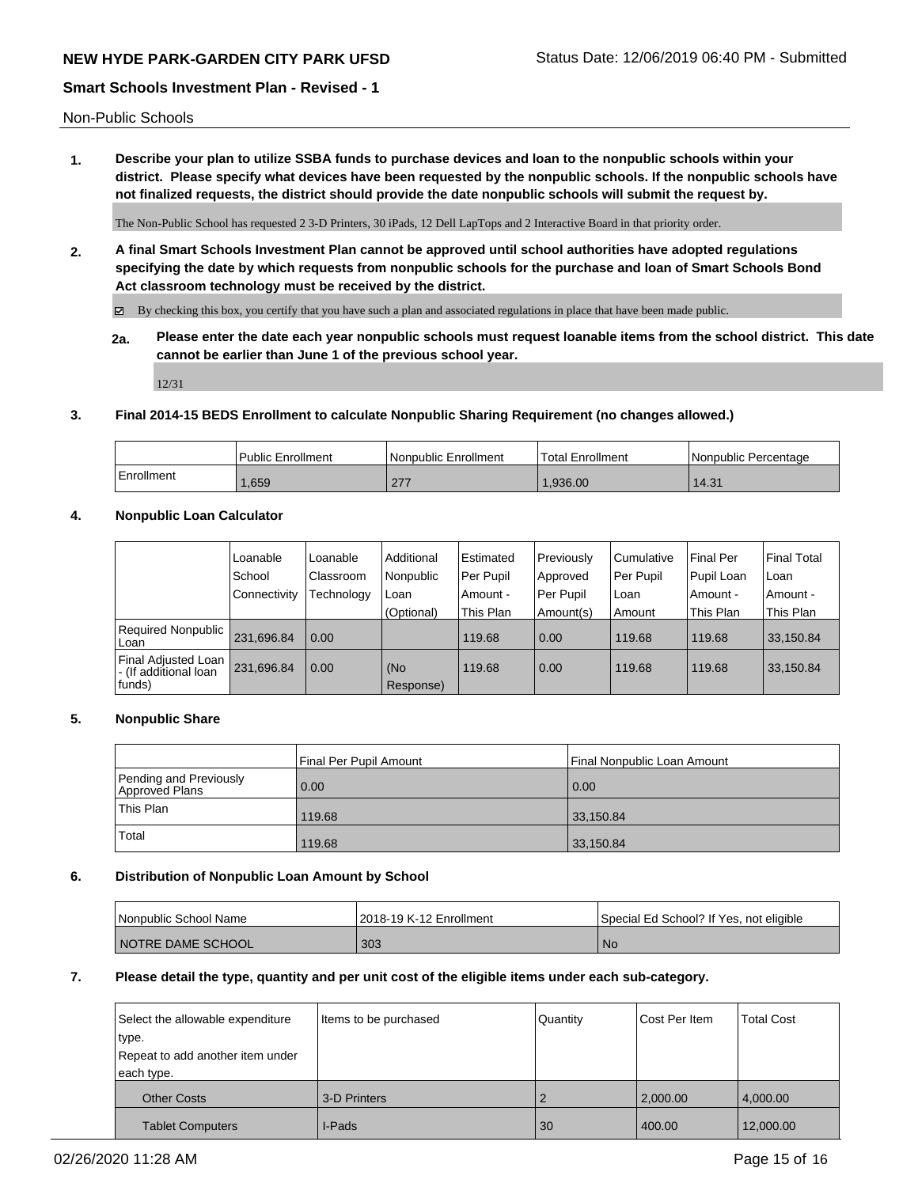Non-Public Schools

**1. Describe your plan to utilize SSBA funds to purchase devices and loan to the nonpublic schools within your district. Please specify what devices have been requested by the nonpublic schools. If the nonpublic schools have not finalized requests, the district should provide the date nonpublic schools will submit the request by.**

The Non-Public School has requested 2 3-D Printers, 30 iPads, 12 Dell LapTops and 2 Interactive Board in that priority order.

**2. A final Smart Schools Investment Plan cannot be approved until school authorities have adopted regulations specifying the date by which requests from nonpublic schools for the purchase and loan of Smart Schools Bond Act classroom technology must be received by the district.**

By checking this box, you certify that you have such a plan and associated regulations in place that have been made public.

**2a. Please enter the date each year nonpublic schools must request loanable items from the school district. This date cannot be earlier than June 1 of the previous school year.**

12/31

#### **3. Final 2014-15 BEDS Enrollment to calculate Nonpublic Sharing Requirement (no changes allowed.)**

|            | Public Enrollment | Nonpublic Enrollment        | Total Enrollment | l Nonpublic Percentage |
|------------|-------------------|-----------------------------|------------------|------------------------|
| Enrollment | 1,659             | n-7<br>$\sim$ $\sim$ $\sim$ | .936.00          | 14.31                  |

# **4. Nonpublic Loan Calculator**

|                                                           | Loanable     | Loanable   | Additional       | Estimated | Previously | l Cumulative | Final Per  | <b>Final Total</b> |
|-----------------------------------------------------------|--------------|------------|------------------|-----------|------------|--------------|------------|--------------------|
|                                                           | School       | Classroom  | Nonpublic        | Per Pupil | Approved   | l Per Pupil  | Pupil Loan | Loan               |
|                                                           | Connectivity | Technology | Loan             | Amount -  | Per Pupil  | Loan         | Amount -   | Amount -           |
|                                                           |              |            | (Optional)       | This Plan | Amount(s)  | Amount       | This Plan  | This Plan          |
| Required Nonpublic<br>Loan                                | 231,696.84   | 0.00       |                  | 119.68    | 0.00       | 119.68       | 119.68     | 33,150.84          |
| Final Adjusted Loan<br>I - (If additional loan<br> funds) | 231,696.84   | 0.00       | (No<br>Response) | 119.68    | 0.00       | 119.68       | 119.68     | 33,150.84          |

#### **5. Nonpublic Share**

|                                          | Final Per Pupil Amount | Final Nonpublic Loan Amount |
|------------------------------------------|------------------------|-----------------------------|
| Pending and Previously<br>Approved Plans | 0.00                   | 0.00                        |
| This Plan                                | 119.68                 | 33,150.84                   |
| Total                                    | 119.68                 | 33,150.84                   |

#### **6. Distribution of Nonpublic Loan Amount by School**

| <b>Nonpublic School Name</b> | 2018-19 K-12 Enrollment | l Special Ed School? If Yes, not eligible |
|------------------------------|-------------------------|-------------------------------------------|
| I NOTRE DAME SCHOOL          | 303                     | No.                                       |

#### **7. Please detail the type, quantity and per unit cost of the eligible items under each sub-category.**

| Select the allowable expenditure | Items to be purchased | Quantity | Cost Per Item | <b>Total Cost</b> |
|----------------------------------|-----------------------|----------|---------------|-------------------|
| type.                            |                       |          |               |                   |
| Repeat to add another item under |                       |          |               |                   |
| each type.                       |                       |          |               |                   |
| <b>Other Costs</b>               | 3-D Printers          |          | 2,000.00      | 4,000.00          |
| <b>Tablet Computers</b>          | I-Pads                | 30       | 400.00        | 12,000.00         |